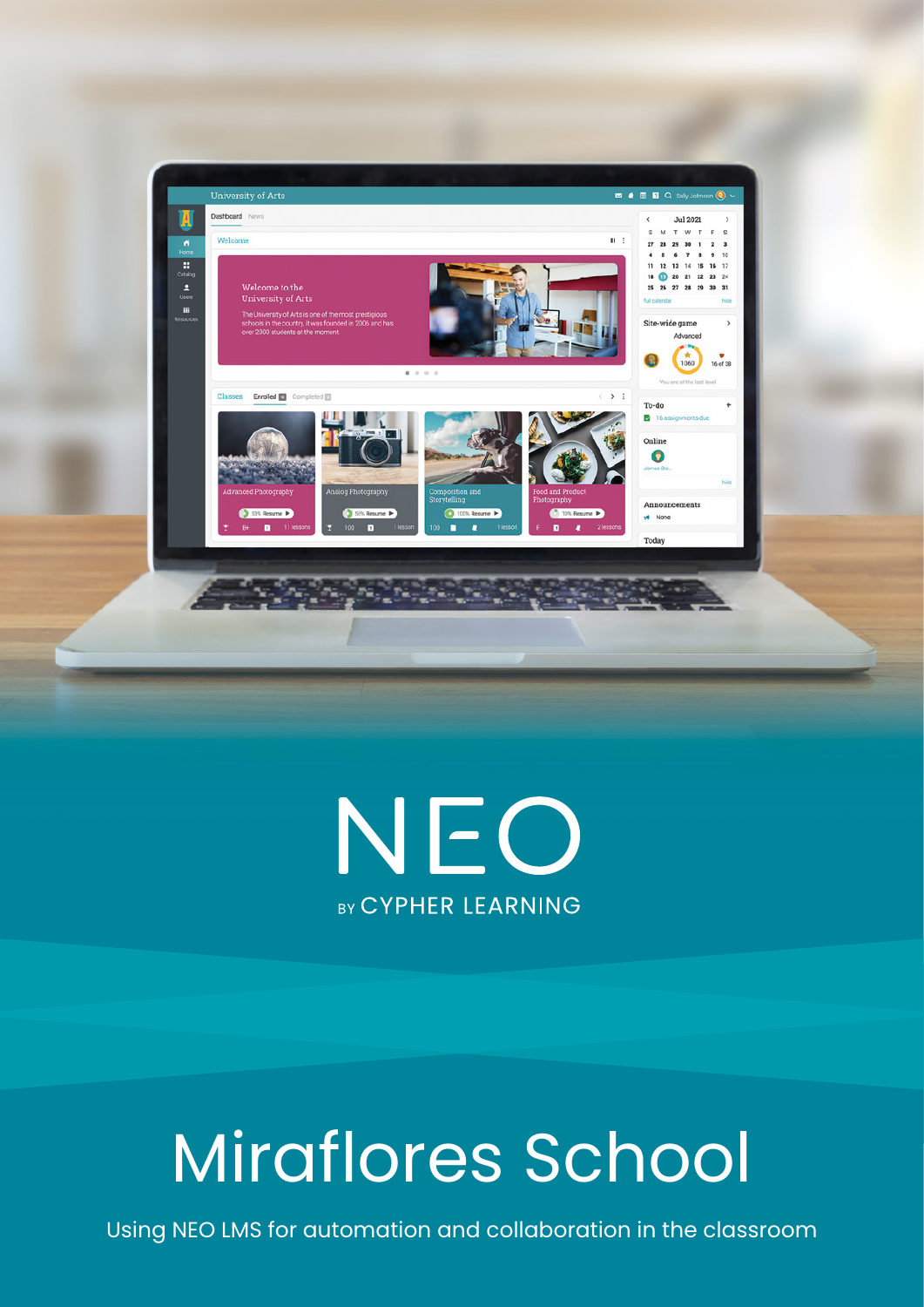



# Miraflores School

Using NEO LMS for automation and collaboration in the classroom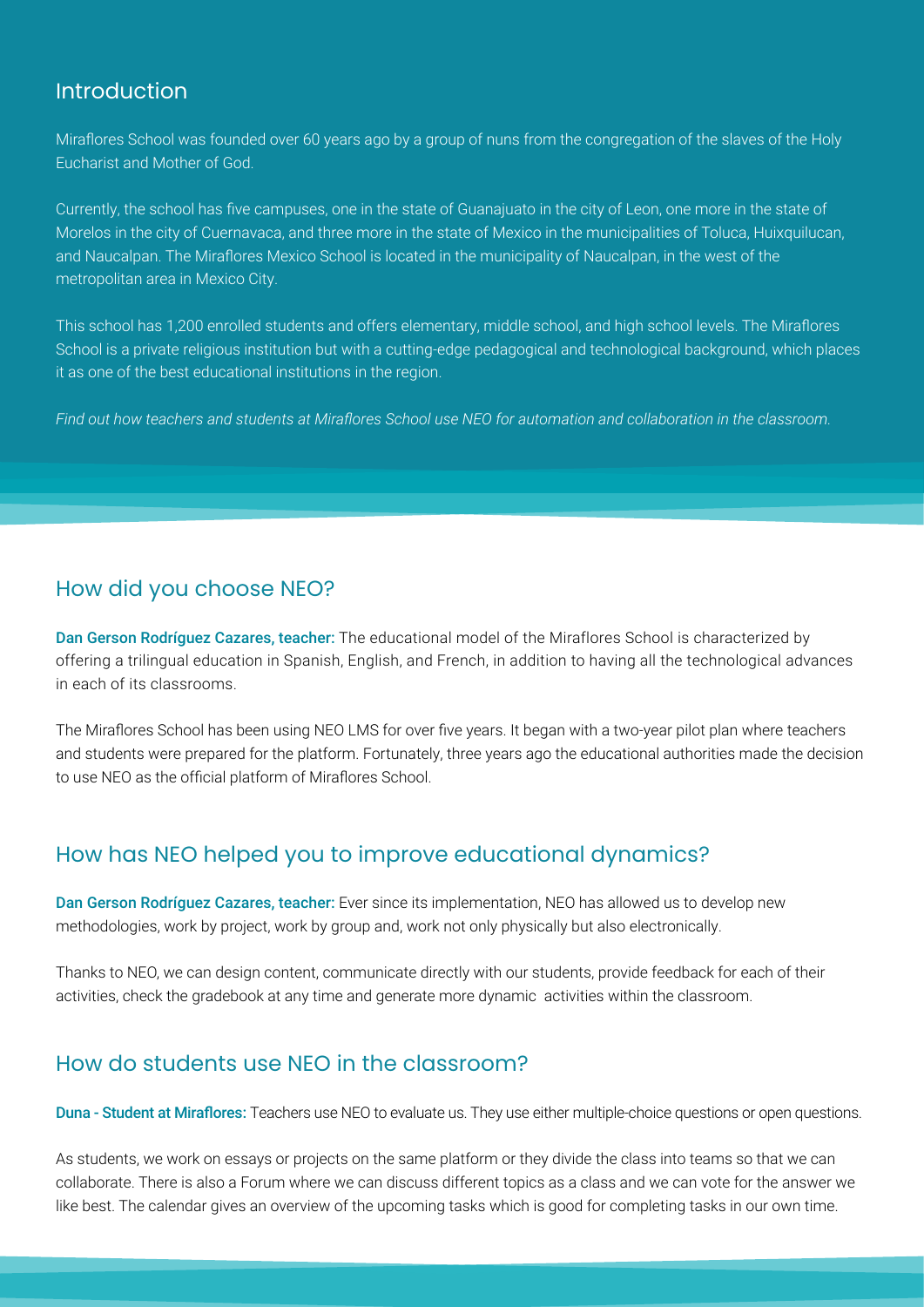#### Introduction

Miraflores School was founded over 60 years ago by a group of nuns from the congregation of the slaves of the Holy Eucharist and Mother of God.

Currently, the school has five campuses, one in the state of Guanajuato in the city of Leon, one more in the state of Morelos in the city of Cuernavaca, and three more in the state of Mexico in the municipalities of Toluca, Huixquilucan, and Naucalpan. The Miraflores Mexico School is located in the municipality of Naucalpan, in the west of the metropolitan area in Mexico City.

This school has 1,200 enrolled students and offers elementary, middle school, and high school levels. The Miraflores School is a private religious institution but with a cutting-edge pedagogical and technological background, which places it as one of the best educational institutions in the region.

*Find out how teachers and students at Miraflores School use NEO for automation and collaboration in the classroom.*

#### How did you choose NEO?

Dan Gerson Rodríguez Cazares, teacher: The educational model of the Miraflores School is characterized by offering a trilingual education in Spanish, English, and French, in addition to having all the technological advances in each of its classrooms.

The Miraflores School has been using NEO LMS for over five years. It began with a two-year pilot plan where teachers and students were prepared for the platform. Fortunately, three years ago the educational authorities made the decision to use NEO as the official platform of Miraflores School.

### How has NEO helped you to improve educational dynamics?

Dan Gerson Rodríguez Cazares, teacher: Ever since its implementation, NEO has allowed us to develop new methodologies, work by project, work by group and, work not only physically but also electronically.

Thanks to NEO, we can design content, communicate directly with our students, provide feedback for each of their activities, check the gradebook at any time and generate more dynamic activities within the classroom.

### How do students use NEO in the classroom?

Duna - Student at Miraflores: Teachers use NEO to evaluate us. They use either multiple-choice questions or open questions.

As students, we work on essays or projects on the same platform or they divide the class into teams so that we can collaborate. There is also a Forum where we can discuss different topics as a class and we can vote for the answer we like best. The calendar gives an overview of the upcoming tasks which is good for completing tasks in our own time.